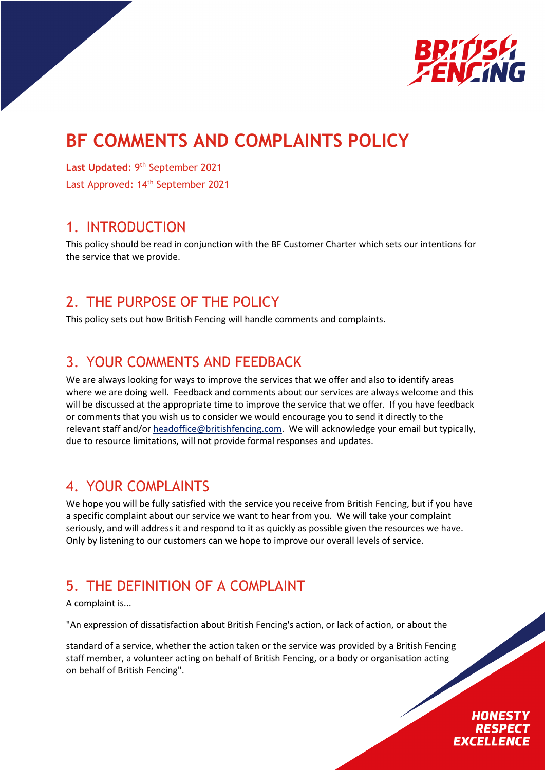

# **BF COMMENTS AND COMPLAINTS POLICY**

Last Updated: 9<sup>th</sup> September 2021

Last Approved: 14<sup>th</sup> September 2021

### 1. INTRODUCTION

This policy should be read in conjunction with the BF Customer Charter which sets our intentions for the service that we provide.

# 2. THE PURPOSE OF THE POLICY

This policy sets out how British Fencing will handle comments and complaints.

# 3. YOUR COMMENTS AND FEEDBACK

We are always looking for ways to improve the services that we offer and also to identify areas where we are doing well. Feedback and comments about our services are always welcome and this will be discussed at the appropriate time to improve the service that we offer. If you have feedback or comments that you wish us to consider we would encourage you to send it directly to the relevant staff and/or headoffice@britishfencing.com. We will acknowledge your email but typically, due to resource limitations, will not provide formal responses and updates.

# 4. YOUR COMPLAINTS

We hope you will be fully satisfied with the service you receive from British Fencing, but if you have a specific complaint about our service we want to hear from you. We will take your complaint seriously, and will address it and respond to it as quickly as possible given the resources we have. Only by listening to our customers can we hope to improve our overall levels of service.

# 5. THE DEFINITION OF A COMPLAINT

A complaint is...

"An expression of dissatisfaction about British Fencing's action, or lack of action, or about the

standard of a service, whether the action taken or the service was provided by a British Fencing staff member, a volunteer acting on behalf of British Fencing, or a body or organisation acting on behalf of British Fencing".

### HONESTY **RESPEC EXCELLENCE**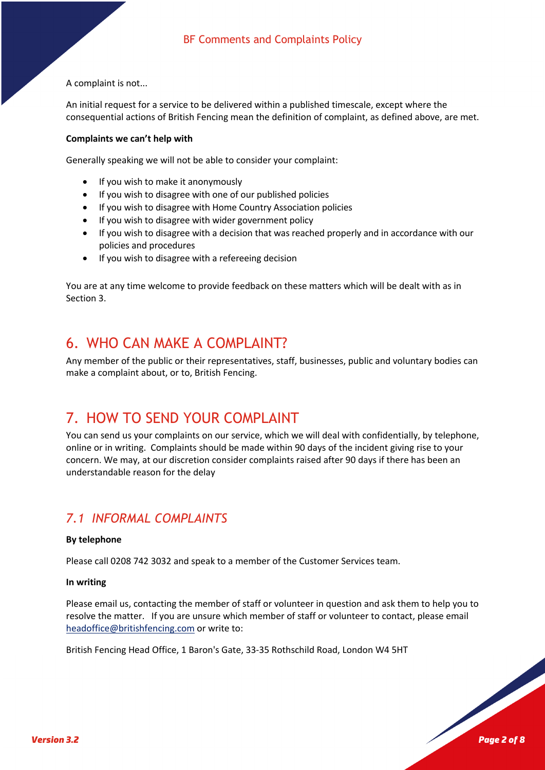A complaint is not...

An initial request for a service to be delivered within a published timescale, except where the consequential actions of British Fencing mean the definition of complaint, as defined above, are met.

#### **Complaints we can't help with**

Generally speaking we will not be able to consider your complaint:

- If you wish to make it anonymously
- If you wish to disagree with one of our published policies
- If you wish to disagree with Home Country Association policies
- If you wish to disagree with wider government policy
- If you wish to disagree with a decision that was reached properly and in accordance with our policies and procedures
- If you wish to disagree with a refereeing decision

You are at any time welcome to provide feedback on these matters which will be dealt with as in Section 3.

# 6. WHO CAN MAKE A COMPLAINT?

Any member of the public or their representatives, staff, businesses, public and voluntary bodies can make a complaint about, or to, British Fencing.

# 7. HOW TO SEND YOUR COMPLAINT

You can send us your complaints on our service, which we will deal with confidentially, by telephone, online or in writing. Complaints should be made within 90 days of the incident giving rise to your concern. We may, at our discretion consider complaints raised after 90 days if there has been an understandable reason for the delay

### *7.1 INFORMAL COMPLAINTS*

#### **By telephone**

Please call 0208 742 3032 and speak to a member of the Customer Services team.

#### **In writing**

Please email us, contacting the member of staff or volunteer in question and ask them to help you to resolve the matter. If you are unsure which member of staff or volunteer to contact, please email headoffice@britishfencing.com or write to:

British Fencing Head Office, 1 Baron's Gate, 33-35 Rothschild Road, London W4 5HT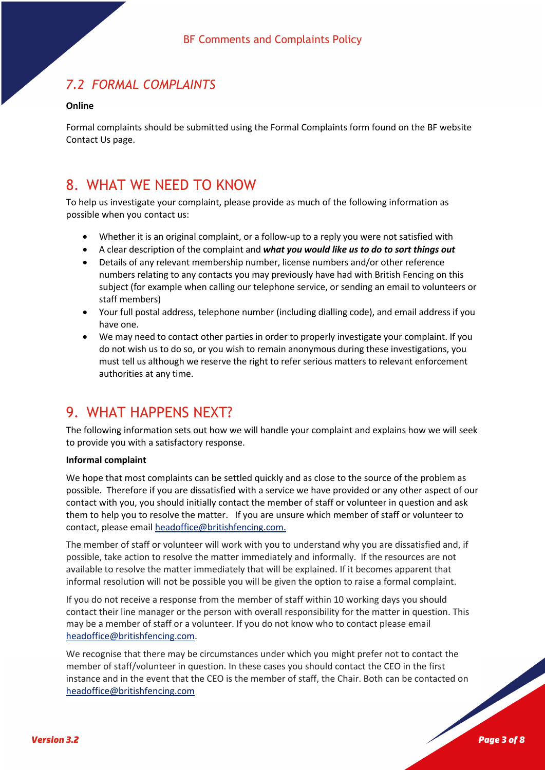### *7.2 FORMAL COMPLAINTS*

#### **Online**

Formal complaints should be submitted using the Formal Complaints form found on the BF website Contact Us page.

### 8. WHAT WE NEED TO KNOW

To help us investigate your complaint, please provide as much of the following information as possible when you contact us:

- Whether it is an original complaint, or a follow-up to a reply you were not satisfied with
- A clear description of the complaint and *what you would like us to do to sort things out*
- Details of any relevant membership number, license numbers and/or other reference numbers relating to any contacts you may previously have had with British Fencing on this subject (for example when calling our telephone service, or sending an email to volunteers or staff members)
- Your full postal address, telephone number (including dialling code), and email address if you have one.
- We may need to contact other parties in order to properly investigate your complaint. If you do not wish us to do so, or you wish to remain anonymous during these investigations, you must tell us although we reserve the right to refer serious matters to relevant enforcement authorities at any time.

# 9. WHAT HAPPENS NEXT?

The following information sets out how we will handle your complaint and explains how we will seek to provide you with a satisfactory response.

#### **Informal complaint**

We hope that most complaints can be settled quickly and as close to the source of the problem as possible. Therefore if you are dissatisfied with a service we have provided or any other aspect of our contact with you, you should initially contact the member of staff or volunteer in question and ask them to help you to resolve the matter. If you are unsure which member of staff or volunteer to contact, please email headoffice@britishfencing.com.

The member of staff or volunteer will work with you to understand why you are dissatisfied and, if possible, take action to resolve the matter immediately and informally. If the resources are not available to resolve the matter immediately that will be explained. If it becomes apparent that informal resolution will not be possible you will be given the option to raise a formal complaint.

If you do not receive a response from the member of staff within 10 working days you should contact their line manager or the person with overall responsibility for the matter in question. This may be a member of staff or a volunteer. If you do not know who to contact please email headoffice@britishfencing.com.

We recognise that there may be circumstances under which you might prefer not to contact the member of staff/volunteer in question. In these cases you should contact the CEO in the first instance and in the event that the CEO is the member of staff, the Chair. Both can be contacted on headoffice@britishfencing.com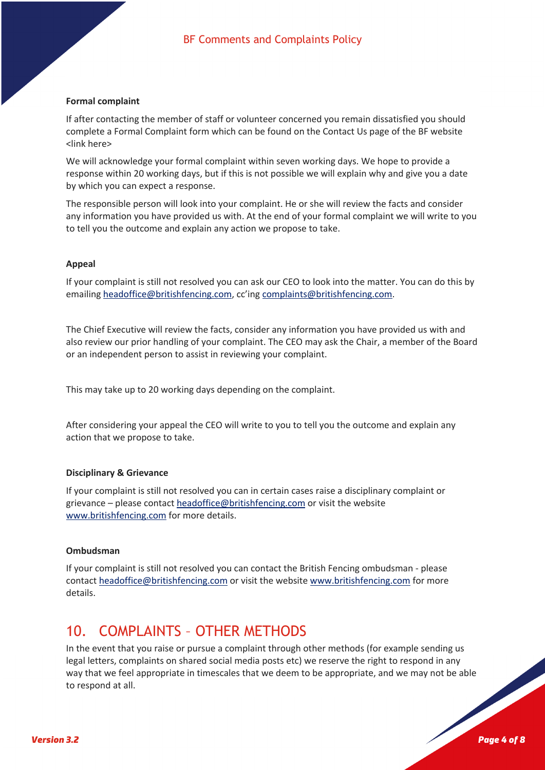#### **Formal complaint**

If after contacting the member of staff or volunteer concerned you remain dissatisfied you should complete a Formal Complaint form which can be found on the Contact Us page of the BF website <link here>

We will acknowledge your formal complaint within seven working days. We hope to provide a response within 20 working days, but if this is not possible we will explain why and give you a date by which you can expect a response.

The responsible person will look into your complaint. He or she will review the facts and consider any information you have provided us with. At the end of your formal complaint we will write to you to tell you the outcome and explain any action we propose to take.

#### **Appeal**

If your complaint is still not resolved you can ask our CEO to look into the matter. You can do this by emailing headoffice@britishfencing.com, cc'ing complaints@britishfencing.com.

The Chief Executive will review the facts, consider any information you have provided us with and also review our prior handling of your complaint. The CEO may ask the Chair, a member of the Board or an independent person to assist in reviewing your complaint.

This may take up to 20 working days depending on the complaint.

After considering your appeal the CEO will write to you to tell you the outcome and explain any action that we propose to take.

#### **Disciplinary & Grievance**

If your complaint is still not resolved you can in certain cases raise a disciplinary complaint or grievance – please contact headoffice@britishfencing.com or visit the website www.britishfencing.com for more details.

#### **Ombudsman**

If your complaint is still not resolved you can contact the British Fencing ombudsman - please contact headoffice@britishfencing.com or visit the website www.britishfencing.com for more details.

### 10. COMPLAINTS – OTHER METHODS

In the event that you raise or pursue a complaint through other methods (for example sending us legal letters, complaints on shared social media posts etc) we reserve the right to respond in any way that we feel appropriate in timescales that we deem to be appropriate, and we may not be able to respond at all.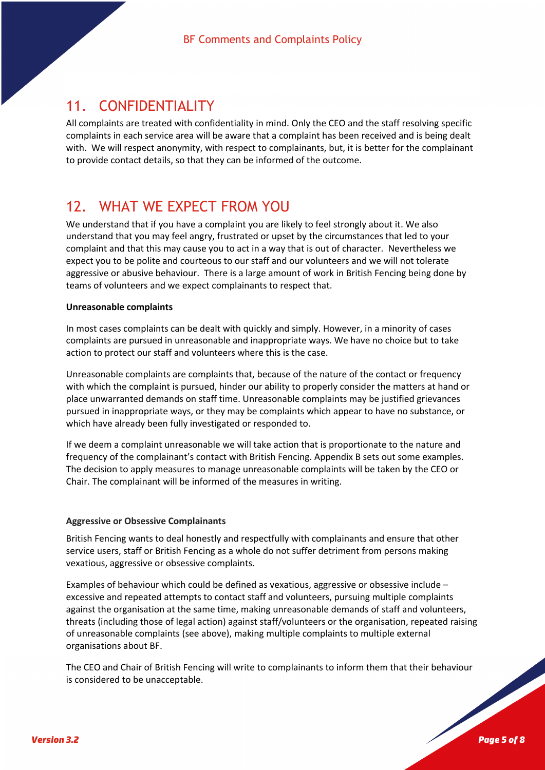### 11. CONFIDENTIALITY

All complaints are treated with confidentiality in mind. Only the CEO and the staff resolving specific complaints in each service area will be aware that a complaint has been received and is being dealt with. We will respect anonymity, with respect to complainants, but, it is better for the complainant to provide contact details, so that they can be informed of the outcome.

### 12. WHAT WE EXPECT FROM YOU

We understand that if you have a complaint you are likely to feel strongly about it. We also understand that you may feel angry, frustrated or upset by the circumstances that led to your complaint and that this may cause you to act in a way that is out of character. Nevertheless we expect you to be polite and courteous to our staff and our volunteers and we will not tolerate aggressive or abusive behaviour. There is a large amount of work in British Fencing being done by teams of volunteers and we expect complainants to respect that.

#### **Unreasonable complaints**

In most cases complaints can be dealt with quickly and simply. However, in a minority of cases complaints are pursued in unreasonable and inappropriate ways. We have no choice but to take action to protect our staff and volunteers where this is the case.

Unreasonable complaints are complaints that, because of the nature of the contact or frequency with which the complaint is pursued, hinder our ability to properly consider the matters at hand or place unwarranted demands on staff time. Unreasonable complaints may be justified grievances pursued in inappropriate ways, or they may be complaints which appear to have no substance, or which have already been fully investigated or responded to.

If we deem a complaint unreasonable we will take action that is proportionate to the nature and frequency of the complainant's contact with British Fencing. Appendix B sets out some examples. The decision to apply measures to manage unreasonable complaints will be taken by the CEO or Chair. The complainant will be informed of the measures in writing.

#### **Aggressive or Obsessive Complainants**

British Fencing wants to deal honestly and respectfully with complainants and ensure that other service users, staff or British Fencing as a whole do not suffer detriment from persons making vexatious, aggressive or obsessive complaints.

Examples of behaviour which could be defined as vexatious, aggressive or obsessive include – excessive and repeated attempts to contact staff and volunteers, pursuing multiple complaints against the organisation at the same time, making unreasonable demands of staff and volunteers, threats (including those of legal action) against staff/volunteers or the organisation, repeated raising of unreasonable complaints (see above), making multiple complaints to multiple external organisations about BF.

The CEO and Chair of British Fencing will write to complainants to inform them that their behaviour is considered to be unacceptable.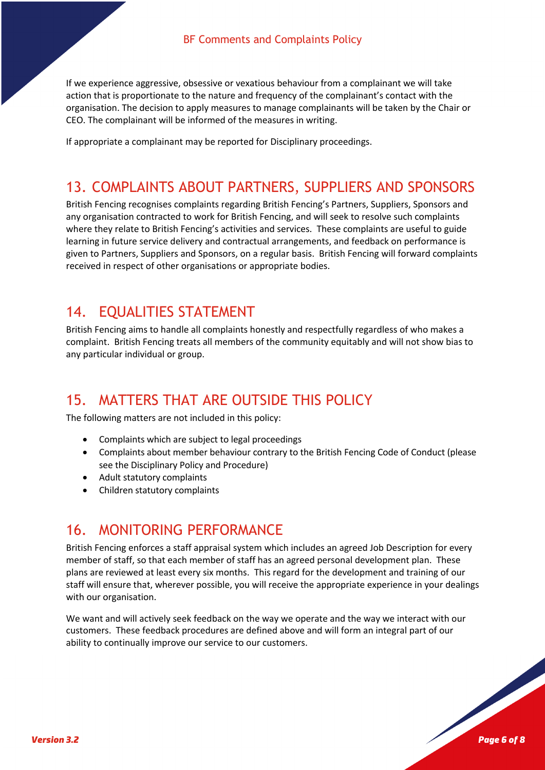If we experience aggressive, obsessive or vexatious behaviour from a complainant we will take action that is proportionate to the nature and frequency of the complainant's contact with the organisation. The decision to apply measures to manage complainants will be taken by the Chair or CEO. The complainant will be informed of the measures in writing.

If appropriate a complainant may be reported for Disciplinary proceedings.

### 13. COMPLAINTS ABOUT PARTNERS, SUPPLIERS AND SPONSORS

British Fencing recognises complaints regarding British Fencing's Partners, Suppliers, Sponsors and any organisation contracted to work for British Fencing, and will seek to resolve such complaints where they relate to British Fencing's activities and services. These complaints are useful to guide learning in future service delivery and contractual arrangements, and feedback on performance is given to Partners, Suppliers and Sponsors, on a regular basis. British Fencing will forward complaints received in respect of other organisations or appropriate bodies.

### 14. EQUALITIES STATEMENT

British Fencing aims to handle all complaints honestly and respectfully regardless of who makes a complaint. British Fencing treats all members of the community equitably and will not show bias to any particular individual or group.

### 15. MATTERS THAT ARE OUTSIDE THIS POLICY

The following matters are not included in this policy:

- Complaints which are subject to legal proceedings
- Complaints about member behaviour contrary to the British Fencing Code of Conduct (please see the Disciplinary Policy and Procedure)
- Adult statutory complaints
- Children statutory complaints

### 16. MONITORING PERFORMANCE

British Fencing enforces a staff appraisal system which includes an agreed Job Description for every member of staff, so that each member of staff has an agreed personal development plan. These plans are reviewed at least every six months. This regard for the development and training of our staff will ensure that, wherever possible, you will receive the appropriate experience in your dealings with our organisation.

We want and will actively seek feedback on the way we operate and the way we interact with our customers. These feedback procedures are defined above and will form an integral part of our ability to continually improve our service to our customers.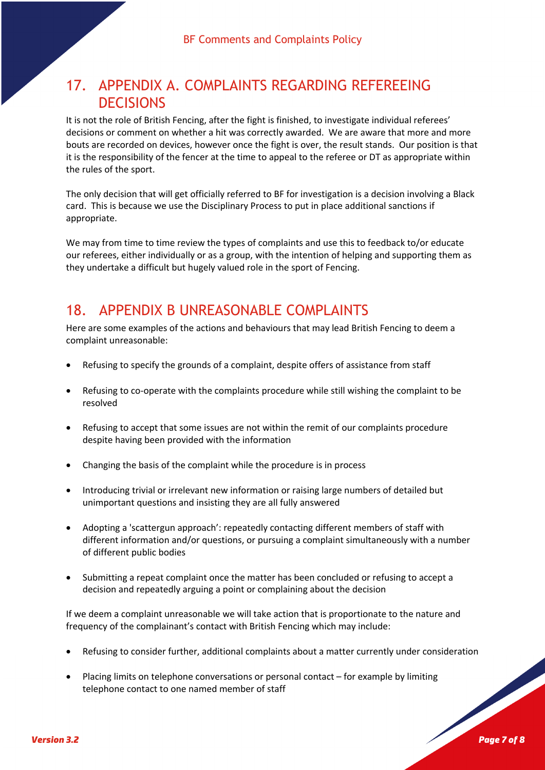# 17. APPENDIX A. COMPLAINTS REGARDING REFEREEING **DECISIONS**

It is not the role of British Fencing, after the fight is finished, to investigate individual referees' decisions or comment on whether a hit was correctly awarded. We are aware that more and more bouts are recorded on devices, however once the fight is over, the result stands. Our position is that it is the responsibility of the fencer at the time to appeal to the referee or DT as appropriate within the rules of the sport.

The only decision that will get officially referred to BF for investigation is a decision involving a Black card. This is because we use the Disciplinary Process to put in place additional sanctions if appropriate.

We may from time to time review the types of complaints and use this to feedback to/or educate our referees, either individually or as a group, with the intention of helping and supporting them as they undertake a difficult but hugely valued role in the sport of Fencing.

### 18. APPENDIX B UNREASONABLE COMPLAINTS

Here are some examples of the actions and behaviours that may lead British Fencing to deem a complaint unreasonable:

- Refusing to specify the grounds of a complaint, despite offers of assistance from staff
- Refusing to co-operate with the complaints procedure while still wishing the complaint to be resolved
- Refusing to accept that some issues are not within the remit of our complaints procedure despite having been provided with the information
- Changing the basis of the complaint while the procedure is in process
- Introducing trivial or irrelevant new information or raising large numbers of detailed but unimportant questions and insisting they are all fully answered
- Adopting a 'scattergun approach': repeatedly contacting different members of staff with different information and/or questions, or pursuing a complaint simultaneously with a number of different public bodies
- Submitting a repeat complaint once the matter has been concluded or refusing to accept a decision and repeatedly arguing a point or complaining about the decision

If we deem a complaint unreasonable we will take action that is proportionate to the nature and frequency of the complainant's contact with British Fencing which may include:

- Refusing to consider further, additional complaints about a matter currently under consideration
- Placing limits on telephone conversations or personal contact for example by limiting telephone contact to one named member of staff